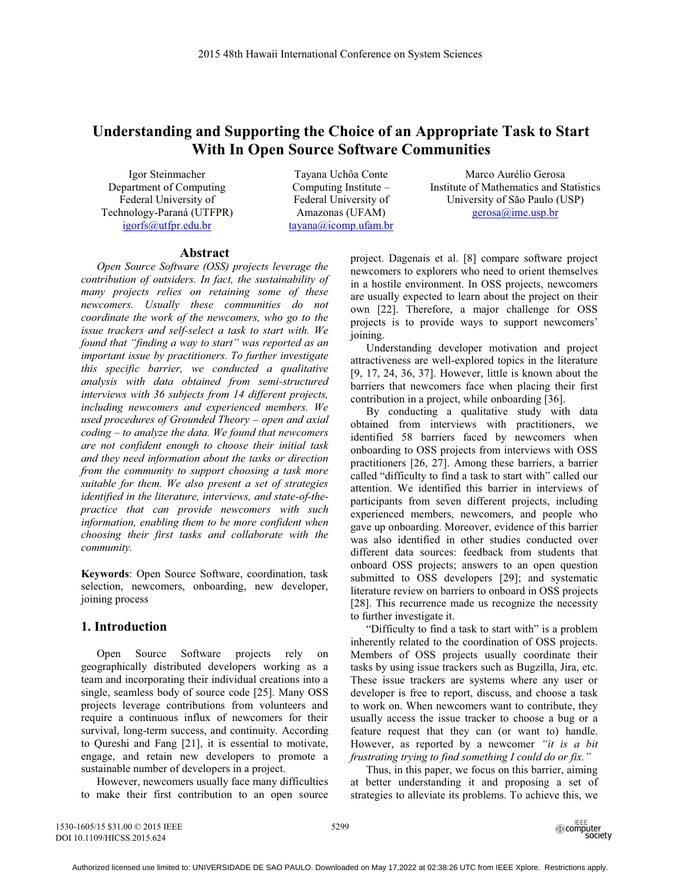# **Understanding and Supporting the Choice of an Appropriate Task to Start With In Open Source Software Communities**

Igor Steinmacher Department of Computing Federal University of Technology-Paraná (UTFPR) igorfs@utfpr.edu.br

Tayana Uchôa Conte Computing Institute – Federal University of Amazonas (UFAM) tayana@icomp.ufam.br

Marco Aurélio Gerosa Institute of Mathematics and Statistics University of São Paulo (USP) gerosa@ime.usp.br

# **Abstract**

*Open Source Software (OSS) projects leverage the contribution of outsiders. In fact, the sustainability of many projects relies on retaining some of these newcomers. Usually these communities do not coordinate the work of the newcomers, who go to the issue trackers and self-select a task to start with. We found that "finding a way to start" was reported as an important issue by practitioners. To further investigate this specific barrier, we conducted a qualitative analysis with data obtained from semi-structured interviews with 36 subjects from 14 different projects, including newcomers and experienced members. We used procedures of Grounded Theory – open and axial coding – to analyze the data. We found that newcomers are not confident enough to choose their initial task and they need information about the tasks or direction from the community to support choosing a task more suitable for them. We also present a set of strategies identified in the literature, interviews, and state-of-thepractice that can provide newcomers with such information, enabling them to be more confident when choosing their first tasks and collaborate with the community.* 

**Keywords**: Open Source Software, coordination, task selection, newcomers, onboarding, new developer, joining process

## **1. Introduction**

Open Source Software projects rely on geographically distributed developers working as a team and incorporating their individual creations into a single, seamless body of source code [25]. Many OSS projects leverage contributions from volunteers and require a continuous influx of newcomers for their survival, long-term success, and continuity. According to Qureshi and Fang [21], it is essential to motivate, engage, and retain new developers to promote a sustainable number of developers in a project.

However, newcomers usually face many difficulties to make their first contribution to an open source project. Dagenais et al. [8] compare software project newcomers to explorers who need to orient themselves in a hostile environment. In OSS projects, newcomers are usually expected to learn about the project on their own [22]. Therefore, a major challenge for OSS projects is to provide ways to support newcomers' joining.

Understanding developer motivation and project attractiveness are well-explored topics in the literature [9, 17, 24, 36, 37]. However, little is known about the barriers that newcomers face when placing their first contribution in a project, while onboarding [36].

By conducting a qualitative study with data obtained from interviews with practitioners, we identified 58 barriers faced by newcomers when onboarding to OSS projects from interviews with OSS practitioners [26, 27]. Among these barriers, a barrier called "difficulty to find a task to start with" called our attention. We identified this barrier in interviews of participants from seven different projects, including experienced members, newcomers, and people who gave up onboarding. Moreover, evidence of this barrier was also identified in other studies conducted over different data sources: feedback from students that onboard OSS projects; answers to an open question submitted to OSS developers [29]; and systematic literature review on barriers to onboard in OSS projects [28]. This recurrence made us recognize the necessity to further investigate it.

"Difficulty to find a task to start with" is a problem inherently related to the coordination of OSS projects. Members of OSS projects usually coordinate their tasks by using issue trackers such as Bugzilla, Jira, etc. These issue trackers are systems where any user or developer is free to report, discuss, and choose a task to work on. When newcomers want to contribute, they usually access the issue tracker to choose a bug or a feature request that they can (or want to) handle. However, as reported by a newcomer *"it is a bit frustrating trying to find something I could do or fix."*

Thus, in this paper, we focus on this barrier, aiming at better understanding it and proposing a set of strategies to alleviate its problems. To achieve this, we

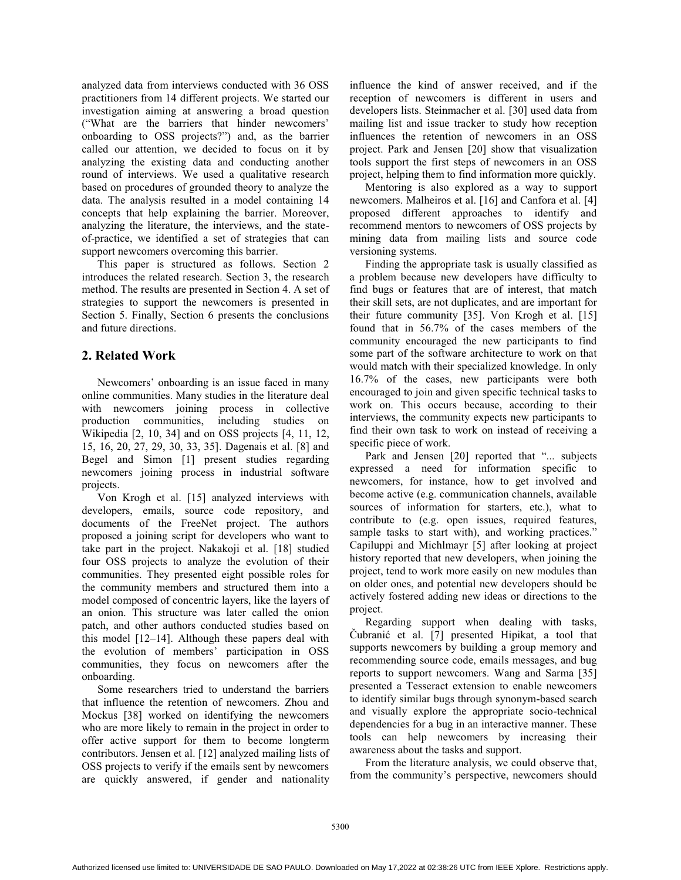analyzed data from interviews conducted with 36 OSS practitioners from 14 different projects. We started our investigation aiming at answering a broad question ("What are the barriers that hinder newcomers' onboarding to OSS projects?") and, as the barrier called our attention, we decided to focus on it by analyzing the existing data and conducting another round of interviews. We used a qualitative research based on procedures of grounded theory to analyze the data. The analysis resulted in a model containing 14 concepts that help explaining the barrier. Moreover, analyzing the literature, the interviews, and the stateof-practice, we identified a set of strategies that can support newcomers overcoming this barrier.

This paper is structured as follows. Section 2 introduces the related research. Section 3, the research method. The results are presented in Section 4. A set of strategies to support the newcomers is presented in Section 5. Finally, Section 6 presents the conclusions and future directions.

# **2. Related Work**

Newcomers' onboarding is an issue faced in many online communities. Many studies in the literature deal with newcomers joining process in collective production communities, including studies on Wikipedia [2, 10, 34] and on OSS projects [4, 11, 12, 15, 16, 20, 27, 29, 30, 33, 35]. Dagenais et al. [8] and Begel and Simon [1] present studies regarding newcomers joining process in industrial software projects.

Von Krogh et al. [15] analyzed interviews with developers, emails, source code repository, and documents of the FreeNet project. The authors proposed a joining script for developers who want to take part in the project. Nakakoji et al. [18] studied four OSS projects to analyze the evolution of their communities. They presented eight possible roles for the community members and structured them into a model composed of concentric layers, like the layers of an onion. This structure was later called the onion patch, and other authors conducted studies based on this model [12–14]. Although these papers deal with the evolution of members' participation in OSS communities, they focus on newcomers after the onboarding.

Some researchers tried to understand the barriers that influence the retention of newcomers. Zhou and Mockus [38] worked on identifying the newcomers who are more likely to remain in the project in order to offer active support for them to become longterm contributors. Jensen et al. [12] analyzed mailing lists of OSS projects to verify if the emails sent by newcomers are quickly answered, if gender and nationality influence the kind of answer received, and if the reception of newcomers is different in users and developers lists. Steinmacher et al. [30] used data from mailing list and issue tracker to study how reception influences the retention of newcomers in an OSS project. Park and Jensen [20] show that visualization tools support the first steps of newcomers in an OSS project, helping them to find information more quickly.

Mentoring is also explored as a way to support newcomers. Malheiros et al. [16] and Canfora et al. [4] proposed different approaches to identify and recommend mentors to newcomers of OSS projects by mining data from mailing lists and source code versioning systems.

Finding the appropriate task is usually classified as a problem because new developers have difficulty to find bugs or features that are of interest, that match their skill sets, are not duplicates, and are important for their future community [35]. Von Krogh et al. [15] found that in 56.7% of the cases members of the community encouraged the new participants to find some part of the software architecture to work on that would match with their specialized knowledge. In only 16.7% of the cases, new participants were both encouraged to join and given specific technical tasks to work on. This occurs because, according to their interviews, the community expects new participants to find their own task to work on instead of receiving a specific piece of work.

Park and Jensen [20] reported that "... subjects expressed a need for information specific to newcomers, for instance, how to get involved and become active (e.g. communication channels, available sources of information for starters, etc.), what to contribute to (e.g. open issues, required features, sample tasks to start with), and working practices." Capiluppi and Michlmayr [5] after looking at project history reported that new developers, when joining the project, tend to work more easily on new modules than on older ones, and potential new developers should be actively fostered adding new ideas or directions to the project.

Regarding support when dealing with tasks, Čubranić et al. [7] presented Hipikat, a tool that supports newcomers by building a group memory and recommending source code, emails messages, and bug reports to support newcomers. Wang and Sarma [35] presented a Tesseract extension to enable newcomers to identify similar bugs through synonym-based search and visually explore the appropriate socio-technical dependencies for a bug in an interactive manner. These tools can help newcomers by increasing their awareness about the tasks and support.

From the literature analysis, we could observe that, from the community's perspective, newcomers should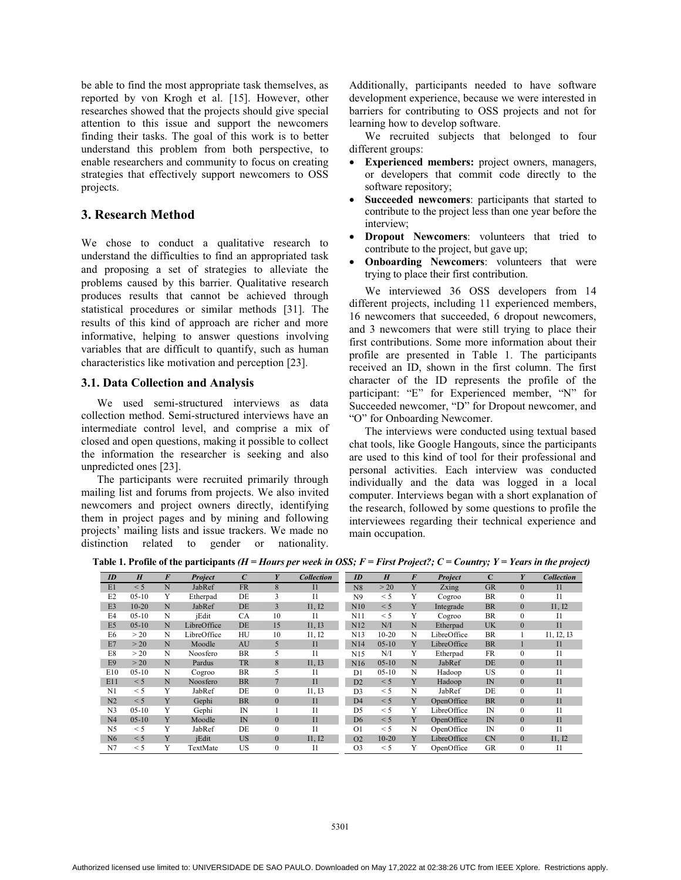be able to find the most appropriate task themselves, as reported by von Krogh et al. [15]. However, other researches showed that the projects should give special attention to this issue and support the newcomers finding their tasks. The goal of this work is to better understand this problem from both perspective, to enable researchers and community to focus on creating strategies that effectively support newcomers to OSS projects.

# **3. Research Method**

We chose to conduct a qualitative research to understand the difficulties to find an appropriated task and proposing a set of strategies to alleviate the problems caused by this barrier. Qualitative research produces results that cannot be achieved through statistical procedures or similar methods [31]. The results of this kind of approach are richer and more informative, helping to answer questions involving variables that are difficult to quantify, such as human characteristics like motivation and perception [23].

### **3.1. Data Collection and Analysis**

We used semi-structured interviews as data collection method. Semi-structured interviews have an intermediate control level, and comprise a mix of closed and open questions, making it possible to collect the information the researcher is seeking and also unpredicted ones [23].

The participants were recruited primarily through mailing list and forums from projects. We also invited newcomers and project owners directly, identifying them in project pages and by mining and following projects' mailing lists and issue trackers. We made no distinction related to gender or nationality.

Additionally, participants needed to have software development experience, because we were interested in barriers for contributing to OSS projects and not for learning how to develop software.

We recruited subjects that belonged to four different groups:

- - **Experienced members:** project owners, managers, or developers that commit code directly to the software repository;
- - **Succeeded newcomers**: participants that started to contribute to the project less than one year before the interview;
- $\bullet$  **Dropout Newcomers**: volunteers that tried to contribute to the project, but gave up;
- $\bullet$ **Onboarding Newcomers:** volunteers that were trying to place their first contribution.

We interviewed 36 OSS developers from 14 different projects, including 11 experienced members, 16 newcomers that succeeded, 6 dropout newcomers, and 3 newcomers that were still trying to place their first contributions. Some more information about their profile are presented in Table 1. The participants received an ID, shown in the first column. The first character of the ID represents the profile of the participant: "E" for Experienced member, "N" for Succeeded newcomer, "D" for Dropout newcomer, and "O" for Onboarding Newcomer.

The interviews were conducted using textual based chat tools, like Google Hangouts, since the participants are used to this kind of tool for their professional and personal activities. Each interview was conducted individually and the data was logged in a local computer. Interviews began with a short explanation of the research, followed by some questions to profile the interviewees regarding their technical experience and main occupation.

**Table 1. Profile of the participants** *(H = Hours per week in OSS; F = First Project?; C = Country; Y = Years in the project)*

| ID             | H         | F | Project     | $\epsilon$ | Y              | <b>Collection</b> | ID             | H         | $\boldsymbol{F}$ | <b>Project</b> | $\mathbf C$ | Y            | <b>Collection</b> |
|----------------|-----------|---|-------------|------------|----------------|-------------------|----------------|-----------|------------------|----------------|-------------|--------------|-------------------|
| E1             | < 5       | N | JabRef      | <b>FR</b>  | 8              | 11                | N8             | >20       | Y                | Zxing          | <b>GR</b>   | $\Omega$     | 11                |
| E2             | $05-10$   | Y | Etherpad    | DE         | 3              | $_{11}$           | N <sub>9</sub> | < 5       | Y                | Cogroo         | <b>BR</b>   | $\Omega$     | Ī1                |
| E <sub>3</sub> | $10 - 20$ | N | JabRef      | DE         | 3              | I1, I2            | N10            | < 5       | Y                | Integrade      | <b>BR</b>   | $\Omega$     | I1, I2            |
| E <sub>4</sub> | $05-10$   | N | iEdit       | <b>CA</b>  | 10             | 11                | N11            | $\leq$ 5  | Y                | Cogroo         | <b>BR</b>   | $\Omega$     | 11                |
| E <sub>5</sub> | $05-10$   | N | LibreOffice | DE         | 15             | I1, I3            | N12            | N/I       | N                | Etherpad       | UK          | $\mathbf{0}$ | $_{\text{II}}$    |
| E6             | >20       | N | LibreOffice | HU         | 10             | I1, I2            | N13            | $10 - 20$ | N                | LibreOffice    | <b>BR</b>   | H.           | I1, I2, I3        |
| E7             | >20       | N | Moodle      | AU         | 5              | $_{11}$           | N14            | $05-10$   | Y                | LibreOffice    | <b>BR</b>   | 1            | $_{11}$           |
| E8             | >20       | N | Noosfero    | <b>BR</b>  | 5              | $_{11}$           | N15            | N/I       | Y                | Etherpad       | <b>FR</b>   | $\Omega$     | 11                |
| E <sub>9</sub> | >20       | N | Pardus      | <b>TR</b>  | 8              | I1, I3            | N16            | $05-10$   | N                | JabRef         | <b>DE</b>   | $\mathbf{0}$ | $_{11}$           |
| E10            | $05-10$   | N | Cogroo      | <b>BR</b>  | 5              | 11                | D <sub>1</sub> | $05-10$   | N                | Hadoop         | US          | $\Omega$     | 11                |
| E11            | < 5       | N | Noosfero    | <b>BR</b>  | $\overline{7}$ | $_{11}$           | D2             | < 5       | Y                | Hadoop         | IN          | $\Omega$     | $_{\text{II}}$    |
| N1             | $\leq 5$  | Y | JabRef      | DE         | $\Omega$       | I1, I3            | D <sub>3</sub> | $\leq$ 5  | N                | JabRef         | DE          | $\Omega$     | 11                |
| N <sub>2</sub> | < 5       | Y | Gephi       | <b>BR</b>  | $\theta$       | $_{11}$           | D <sub>4</sub> | < 5       | Y                | OpenOffice     | <b>BR</b>   | $\Omega$     | $_{11}$           |
| N <sub>3</sub> | $05-10$   | Y | Gephi       | IN         |                | $_{11}$           | D <sub>5</sub> | < 5       | Y                | LibreOffice    | IN          | $\Omega$     | $_{\text{II}}$    |
| N <sub>4</sub> | $05-10$   | Y | Moodle      | IN         | $\theta$       | $_{11}$           | D <sub>6</sub> | < 5       | Y                | OpenOffice     | IN          | $\Omega$     | $_{\text{II}}$    |
| N <sub>5</sub> | $\leq 5$  | Y | JabRef      | DE         | $\theta$       | $_{11}$           | O <sub>1</sub> | $\leq$ 5  | N                | OpenOffice     | IN          | $\Omega$     | Ī1                |
| N <sub>6</sub> | < 5       | Y | iEdit       | <b>US</b>  | $\Omega$       | I1, I2            | O <sub>2</sub> | $10 - 20$ | Y                | LibreOffice    | CN          | $\mathbf{0}$ | I1, I2            |
| N7             | $\leq 5$  | Y | TextMate    | US         | $\theta$       | Ī1                | O <sub>3</sub> | < 5       | Y                | OpenOffice     | <b>GR</b>   | $\Omega$     | 11                |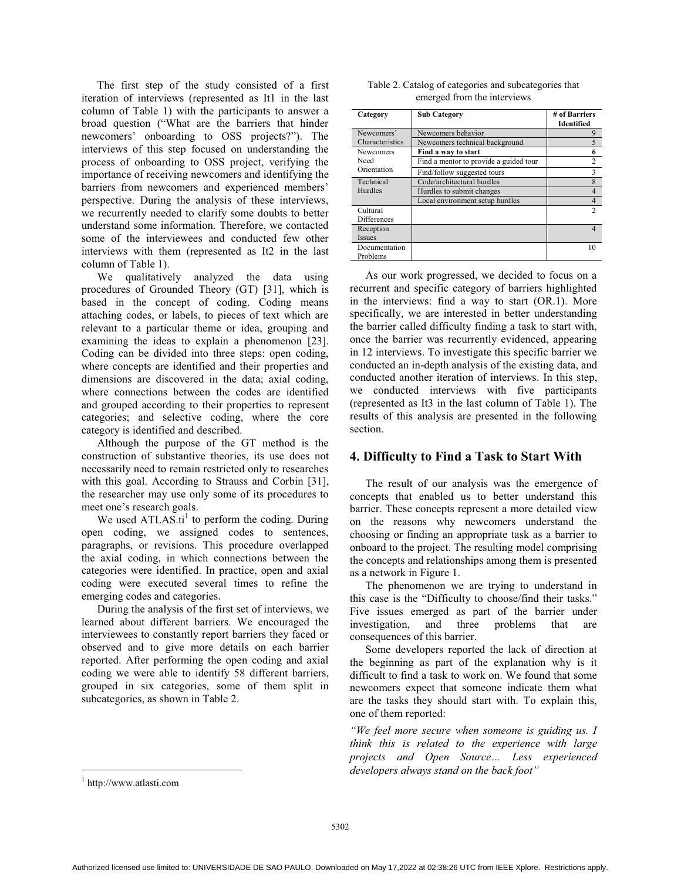The first step of the study consisted of a first iteration of interviews (represented as It1 in the last column of Table 1) with the participants to answer a broad question ("What are the barriers that hinder newcomers' onboarding to OSS projects?"). The interviews of this step focused on understanding the process of onboarding to OSS project, verifying the importance of receiving newcomers and identifying the barriers from newcomers and experienced members' perspective. During the analysis of these interviews, we recurrently needed to clarify some doubts to better understand some information. Therefore, we contacted some of the interviewees and conducted few other interviews with them (represented as It2 in the last column of Table 1).

We qualitatively analyzed the data using procedures of Grounded Theory (GT) [31], which is based in the concept of coding. Coding means attaching codes, or labels, to pieces of text which are relevant to a particular theme or idea, grouping and examining the ideas to explain a phenomenon [23]. Coding can be divided into three steps: open coding, where concepts are identified and their properties and dimensions are discovered in the data; axial coding, where connections between the codes are identified and grouped according to their properties to represent categories; and selective coding, where the core category is identified and described.

Although the purpose of the GT method is the construction of substantive theories, its use does not necessarily need to remain restricted only to researches with this goal. According to Strauss and Corbin [31], the researcher may use only some of its procedures to meet one's research goals.

We used  $ATLAS.t<sup>1</sup>$  to perform the coding. During open coding, we assigned codes to sentences, paragraphs, or revisions. This procedure overlapped the axial coding, in which connections between the categories were identified. In practice, open and axial coding were executed several times to refine the emerging codes and categories.

During the analysis of the first set of interviews, we learned about different barriers. We encouraged the interviewees to constantly report barriers they faced or observed and to give more details on each barrier reported. After performing the open coding and axial coding we were able to identify 58 different barriers, grouped in six categories, some of them split in subcategories, as shown in Table 2.

| Table 2. Catalog of categories and subcategories that |  |
|-------------------------------------------------------|--|
| emerged from the interviews                           |  |

| Category         | <b>Sub Category</b>                    | # of Barriers<br><b>Identified</b> |
|------------------|----------------------------------------|------------------------------------|
| Newcomers'       | Newcomers behavior                     | 9                                  |
| Characteristics  | Newcomers technical background         | 5                                  |
| <b>Newcomers</b> | Find a way to start                    | 6                                  |
| Need             | Find a mentor to provide a guided tour | $\overline{c}$                     |
| Orientation      | Find/follow suggested tours            | $\overline{3}$                     |
| Technical        | Code/architectural hurdles             | 8                                  |
| Hurdles          | Hurdles to submit changes              | $\overline{4}$                     |
|                  | Local environment setup hurdles        | $\overline{4}$                     |
| Cultural         |                                        |                                    |
| Differences      |                                        |                                    |
| Reception        |                                        | $\overline{\mathcal{A}}$           |
| Issues           |                                        |                                    |
| Documentation    |                                        | 10                                 |
| Problems         |                                        |                                    |

As our work progressed, we decided to focus on a recurrent and specific category of barriers highlighted in the interviews: find a way to start (OR.1). More specifically, we are interested in better understanding the barrier called difficulty finding a task to start with, once the barrier was recurrently evidenced, appearing in 12 interviews. To investigate this specific barrier we conducted an in-depth analysis of the existing data, and conducted another iteration of interviews. In this step, we conducted interviews with five participants (represented as It3 in the last column of Table 1). The results of this analysis are presented in the following section.

# **4. Difficulty to Find a Task to Start With**

The result of our analysis was the emergence of concepts that enabled us to better understand this barrier. These concepts represent a more detailed view on the reasons why newcomers understand the choosing or finding an appropriate task as a barrier to onboard to the project. The resulting model comprising the concepts and relationships among them is presented as a network in Figure 1.

The phenomenon we are trying to understand in this case is the "Difficulty to choose/find their tasks." Five issues emerged as part of the barrier under investigation, and three problems that are consequences of this barrier.

Some developers reported the lack of direction at the beginning as part of the explanation why is it difficult to find a task to work on. We found that some newcomers expect that someone indicate them what are the tasks they should start with. To explain this, one of them reported:

*"We feel more secure when someone is guiding us. I think this is related to the experience with large projects and Open Source… Less experienced developers always stand on the back foot"* 

 $\overline{a}$ 

<sup>1</sup> http://www.atlasti.com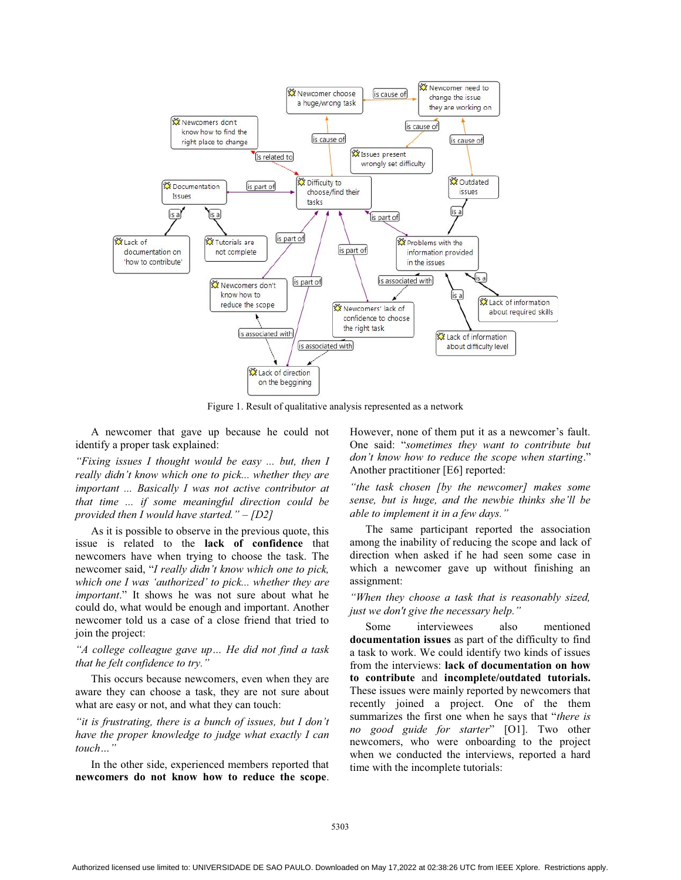

Figure 1. Result of qualitative analysis represented as a network

A newcomer that gave up because he could not identify a proper task explained:

*"Fixing issues I thought would be easy ... but, then I really didn't know which one to pick... whether they are important ... Basically I was not active contributor at that time ... if some meaningful direction could be provided then I would have started." – [D2]* 

As it is possible to observe in the previous quote, this issue is related to the **lack of confidence** that newcomers have when trying to choose the task. The newcomer said, "*I really didn't know which one to pick, which one I was 'authorized' to pick... whether they are important*." It shows he was not sure about what he could do, what would be enough and important. Another newcomer told us a case of a close friend that tried to join the project:

*"A college colleague gave up… He did not find a task that he felt confidence to try."* 

This occurs because newcomers, even when they are aware they can choose a task, they are not sure about what are easy or not, and what they can touch:

*"it is frustrating, there is a bunch of issues, but I don't have the proper knowledge to judge what exactly I can touch…"* 

In the other side, experienced members reported that **newcomers do not know how to reduce the scope**.

However, none of them put it as a newcomer's fault. One said: "*sometimes they want to contribute but don't know how to reduce the scope when starting*." Another practitioner [E6] reported:

*"the task chosen [by the newcomer] makes some sense, but is huge, and the newbie thinks she'll be able to implement it in a few days."* 

The same participant reported the association among the inability of reducing the scope and lack of direction when asked if he had seen some case in which a newcomer gave up without finishing an assignment:

*"When they choose a task that is reasonably sized, just we don't give the necessary help."* 

Some interviewees also mentioned **documentation issues** as part of the difficulty to find a task to work. We could identify two kinds of issues from the interviews: **lack of documentation on how to contribute** and **incomplete/outdated tutorials.**  These issues were mainly reported by newcomers that recently joined a project. One of the them summarizes the first one when he says that "*there is no good guide for starter*" [O1]. Two other newcomers, who were onboarding to the project when we conducted the interviews, reported a hard time with the incomplete tutorials: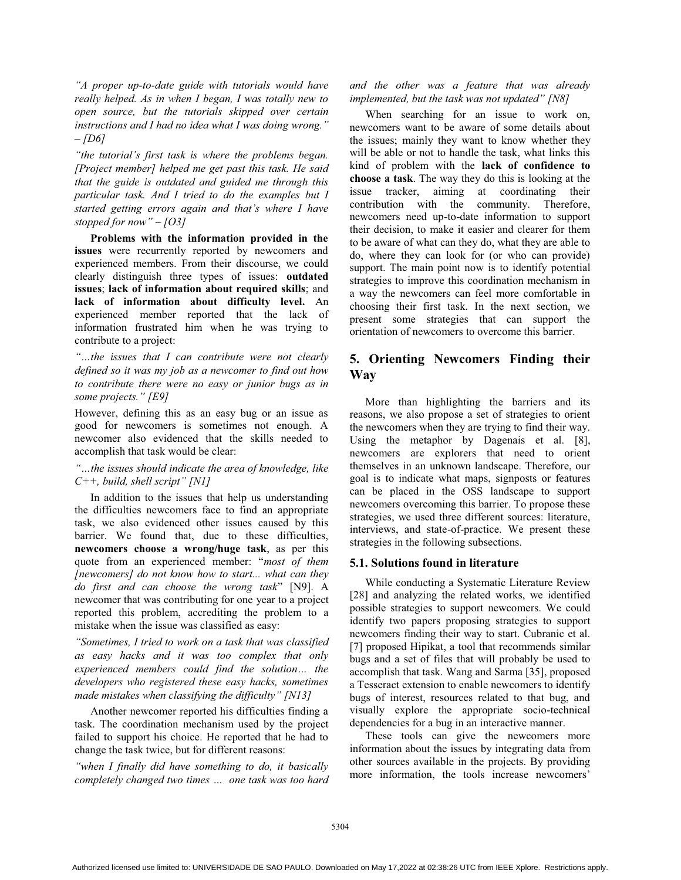*"A proper up-to-date guide with tutorials would have really helped. As in when I began, I was totally new to open source, but the tutorials skipped over certain instructions and I had no idea what I was doing wrong." – [D6]* 

*"the tutorial's first task is where the problems began. [Project member] helped me get past this task. He said that the guide is outdated and guided me through this particular task. And I tried to do the examples but I started getting errors again and that's where I have stopped for now" – [O3]* 

**Problems with the information provided in the issues** were recurrently reported by newcomers and experienced members. From their discourse, we could clearly distinguish three types of issues: **outdated issues**; **lack of information about required skills**; and **lack of information about difficulty level.** An experienced member reported that the lack of information frustrated him when he was trying to contribute to a project:

*"…the issues that I can contribute were not clearly defined so it was my job as a newcomer to find out how to contribute there were no easy or junior bugs as in some projects." [E9]* 

However, defining this as an easy bug or an issue as good for newcomers is sometimes not enough. A newcomer also evidenced that the skills needed to accomplish that task would be clear:

## *"…the issues should indicate the area of knowledge, like C++, build, shell script" [N1]*

In addition to the issues that help us understanding the difficulties newcomers face to find an appropriate task, we also evidenced other issues caused by this barrier. We found that, due to these difficulties, **newcomers choose a wrong/huge task**, as per this quote from an experienced member: "*most of them [newcomers] do not know how to start... what can they do first and can choose the wrong task*" [N9]. A newcomer that was contributing for one year to a project reported this problem, accrediting the problem to a mistake when the issue was classified as easy:

*"Sometimes, I tried to work on a task that was classified as easy hacks and it was too complex that only experienced members could find the solution… the developers who registered these easy hacks, sometimes made mistakes when classifying the difficulty" [N13]* 

Another newcomer reported his difficulties finding a task. The coordination mechanism used by the project failed to support his choice. He reported that he had to change the task twice, but for different reasons:

*"when I finally did have something to do, it basically completely changed two times … one task was too hard*  *and the other was a feature that was already implemented, but the task was not updated" [N8]* 

When searching for an issue to work on, newcomers want to be aware of some details about the issues; mainly they want to know whether they will be able or not to handle the task, what links this kind of problem with the **lack of confidence to choose a task**. The way they do this is looking at the issue tracker, aiming at coordinating their contribution with the community. Therefore, newcomers need up-to-date information to support their decision, to make it easier and clearer for them to be aware of what can they do, what they are able to do, where they can look for (or who can provide) support. The main point now is to identify potential strategies to improve this coordination mechanism in a way the newcomers can feel more comfortable in choosing their first task. In the next section, we present some strategies that can support the orientation of newcomers to overcome this barrier.

# **5. Orienting Newcomers Finding their Way**

More than highlighting the barriers and its reasons, we also propose a set of strategies to orient the newcomers when they are trying to find their way. Using the metaphor by Dagenais et al. [8], newcomers are explorers that need to orient themselves in an unknown landscape. Therefore, our goal is to indicate what maps, signposts or features can be placed in the OSS landscape to support newcomers overcoming this barrier. To propose these strategies, we used three different sources: literature, interviews, and state-of-practice. We present these strategies in the following subsections.

#### **5.1. Solutions found in literature**

While conducting a Systematic Literature Review [28] and analyzing the related works, we identified possible strategies to support newcomers. We could identify two papers proposing strategies to support newcomers finding their way to start. Cubranic et al. [7] proposed Hipikat, a tool that recommends similar bugs and a set of files that will probably be used to accomplish that task. Wang and Sarma [35], proposed a Tesseract extension to enable newcomers to identify bugs of interest, resources related to that bug, and visually explore the appropriate socio-technical dependencies for a bug in an interactive manner.

These tools can give the newcomers more information about the issues by integrating data from other sources available in the projects. By providing more information, the tools increase newcomers'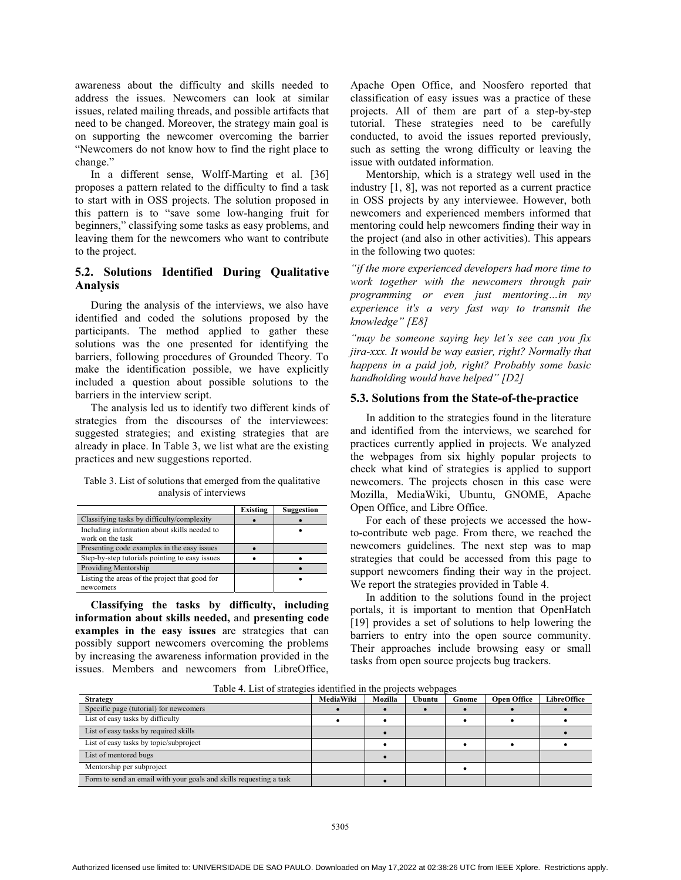awareness about the difficulty and skills needed to address the issues. Newcomers can look at similar issues, related mailing threads, and possible artifacts that need to be changed. Moreover, the strategy main goal is on supporting the newcomer overcoming the barrier "Newcomers do not know how to find the right place to change."

In a different sense, Wolff-Marting et al. [36] proposes a pattern related to the difficulty to find a task to start with in OSS projects. The solution proposed in this pattern is to "save some low-hanging fruit for beginners," classifying some tasks as easy problems, and leaving them for the newcomers who want to contribute to the project.

# **5.2. Solutions Identified During Qualitative Analysis**

During the analysis of the interviews, we also have identified and coded the solutions proposed by the participants. The method applied to gather these solutions was the one presented for identifying the barriers, following procedures of Grounded Theory. To make the identification possible, we have explicitly included a question about possible solutions to the barriers in the interview script.

The analysis led us to identify two different kinds of strategies from the discourses of the interviewees: suggested strategies; and existing strategies that are already in place. In Table 3, we list what are the existing practices and new suggestions reported.

Table 3. List of solutions that emerged from the qualitative analysis of interviews

|                                                | <b>Existing</b> | Suggestion |
|------------------------------------------------|-----------------|------------|
| Classifying tasks by difficulty/complexity     |                 |            |
| Including information about skills needed to   |                 |            |
| work on the task                               |                 |            |
| Presenting code examples in the easy issues    |                 |            |
| Step-by-step tutorials pointing to easy issues |                 |            |
| Providing Mentorship                           |                 |            |
| Listing the areas of the project that good for |                 |            |
| newcomers                                      |                 |            |

**Classifying the tasks by difficulty, including information about skills needed,** and **presenting code examples in the easy issues** are strategies that can possibly support newcomers overcoming the problems by increasing the awareness information provided in the issues. Members and newcomers from LibreOffice,

Apache Open Office, and Noosfero reported that classification of easy issues was a practice of these projects. All of them are part of a step-by-step tutorial. These strategies need to be carefully conducted, to avoid the issues reported previously, such as setting the wrong difficulty or leaving the issue with outdated information.

Mentorship, which is a strategy well used in the industry [1, 8], was not reported as a current practice in OSS projects by any interviewee. However, both newcomers and experienced members informed that mentoring could help newcomers finding their way in the project (and also in other activities). This appears in the following two quotes:

*"if the more experienced developers had more time to work together with the newcomers through pair programming or even just mentoring…in my experience it's a very fast way to transmit the knowledge" [E8]* 

*"may be someone saying hey let's see can you fix jira-xxx. It would be way easier, right? Normally that happens in a paid job, right? Probably some basic handholding would have helped" [D2]* 

#### **5.3. Solutions from the State-of-the-practice**

In addition to the strategies found in the literature and identified from the interviews, we searched for practices currently applied in projects. We analyzed the webpages from six highly popular projects to check what kind of strategies is applied to support newcomers. The projects chosen in this case were Mozilla, MediaWiki, Ubuntu, GNOME, Apache Open Office, and Libre Office.

For each of these projects we accessed the howto-contribute web page. From there, we reached the newcomers guidelines. The next step was to map strategies that could be accessed from this page to support newcomers finding their way in the project. We report the strategies provided in Table 4.

In addition to the solutions found in the project portals, it is important to mention that OpenHatch [19] provides a set of solutions to help lowering the barriers to entry into the open source community. Their approaches include browsing easy or small tasks from open source projects bug trackers.

| <b>Strategy</b>                                                    | MediaWiki | Mozilla | Ubuntu | Gnome | <b>Open Office</b> | <b>LibreOffice</b> |
|--------------------------------------------------------------------|-----------|---------|--------|-------|--------------------|--------------------|
| Specific page (tutorial) for newcomers                             |           |         |        |       |                    |                    |
| List of easy tasks by difficulty                                   |           |         |        |       |                    |                    |
| List of easy tasks by required skills                              |           |         |        |       |                    |                    |
| List of easy tasks by topic/subproject                             |           |         |        |       |                    |                    |
| List of mentored bugs                                              |           |         |        |       |                    |                    |
| Mentorship per subproject                                          |           |         |        |       |                    |                    |
| Form to send an email with your goals and skills requesting a task |           |         |        |       |                    |                    |

Table 4. List of strategies identified in the projects webpages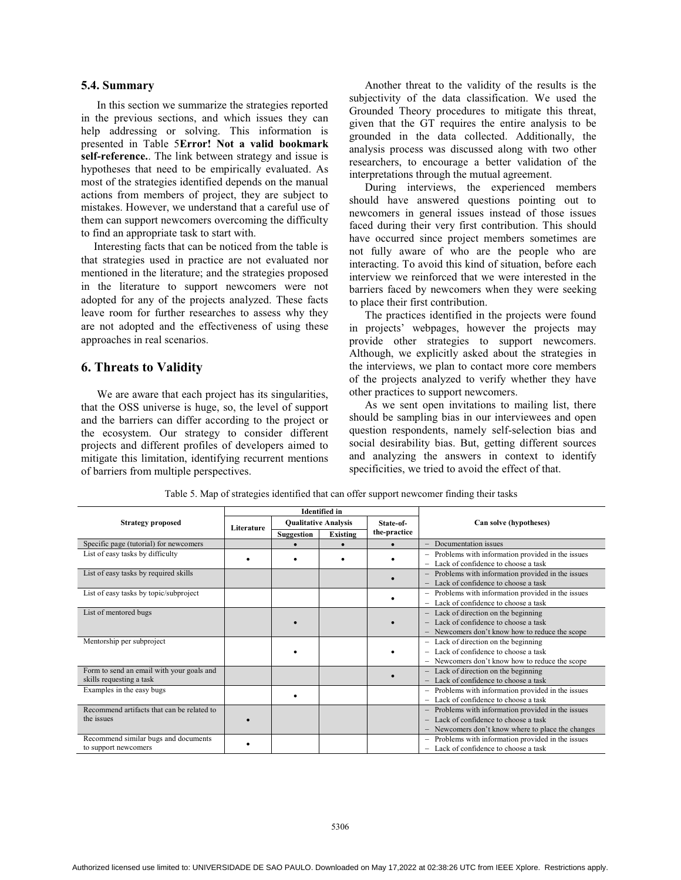# **5.4. Summary**

In this section we summarize the strategies reported in the previous sections, and which issues they can help addressing or solving. This information is presented in Table 5**Error! Not a valid bookmark self-reference.**. The link between strategy and issue is hypotheses that need to be empirically evaluated. As most of the strategies identified depends on the manual actions from members of project, they are subject to mistakes. However, we understand that a careful use of them can support newcomers overcoming the difficulty to find an appropriate task to start with.

Interesting facts that can be noticed from the table is that strategies used in practice are not evaluated nor mentioned in the literature; and the strategies proposed in the literature to support newcomers were not adopted for any of the projects analyzed. These facts leave room for further researches to assess why they are not adopted and the effectiveness of using these approaches in real scenarios.

## **6. Threats to Validity**

We are aware that each project has its singularities, that the OSS universe is huge, so, the level of support and the barriers can differ according to the project or the ecosystem. Our strategy to consider different projects and different profiles of developers aimed to mitigate this limitation, identifying recurrent mentions of barriers from multiple perspectives.

Another threat to the validity of the results is the subjectivity of the data classification. We used the Grounded Theory procedures to mitigate this threat, given that the GT requires the entire analysis to be grounded in the data collected. Additionally, the analysis process was discussed along with two other researchers, to encourage a better validation of the interpretations through the mutual agreement.

During interviews, the experienced members should have answered questions pointing out to newcomers in general issues instead of those issues faced during their very first contribution. This should have occurred since project members sometimes are not fully aware of who are the people who are interacting. To avoid this kind of situation, before each interview we reinforced that we were interested in the barriers faced by newcomers when they were seeking to place their first contribution.

The practices identified in the projects were found in projects' webpages, however the projects may provide other strategies to support newcomers. Although, we explicitly asked about the strategies in the interviews, we plan to contact more core members of the projects analyzed to verify whether they have other practices to support newcomers.

As we sent open invitations to mailing list, there should be sampling bias in our interviewees and open question respondents, namely self-selection bias and social desirability bias. But, getting different sources and analyzing the answers in context to identify specificities, we tried to avoid the effect of that.

|                                                                       |                                           |                               | <b>Identified</b> in |                        |                                                                                                                                                                                         |  |  |
|-----------------------------------------------------------------------|-------------------------------------------|-------------------------------|----------------------|------------------------|-----------------------------------------------------------------------------------------------------------------------------------------------------------------------------------------|--|--|
| <b>Strategy proposed</b>                                              | <b>Qualitative Analysis</b><br>Literature |                               | State-of-            | Can solve (hypotheses) |                                                                                                                                                                                         |  |  |
|                                                                       |                                           | <b>Existing</b><br>Suggestion |                      | the-practice           |                                                                                                                                                                                         |  |  |
| Specific page (tutorial) for newcomers                                |                                           |                               |                      | $\epsilon$             | Documentation issues                                                                                                                                                                    |  |  |
| List of easy tasks by difficulty                                      |                                           |                               |                      |                        | Problems with information provided in the issues<br>Lack of confidence to choose a task                                                                                                 |  |  |
| List of easy tasks by required skills                                 |                                           |                               |                      |                        | Problems with information provided in the issues<br>Lack of confidence to choose a task                                                                                                 |  |  |
| List of easy tasks by topic/subproject                                |                                           |                               |                      |                        | Problems with information provided in the issues<br>Lack of confidence to choose a task                                                                                                 |  |  |
| List of mentored bugs                                                 |                                           |                               |                      |                        | Lack of direction on the beginning<br>Lack of confidence to choose a task<br>Newcomers don't know how to reduce the scope                                                               |  |  |
| Mentorship per subproject                                             |                                           |                               |                      |                        | Lack of direction on the beginning<br>$\overline{\phantom{0}}$<br>Lack of confidence to choose a task<br>$\overline{\phantom{0}}$<br>Newcomers don't know how to reduce the scope<br>Ξ. |  |  |
| Form to send an email with your goals and<br>skills requesting a task |                                           |                               |                      |                        | Lack of direction on the beginning<br>$\overline{\phantom{0}}$<br>Lack of confidence to choose a task                                                                                   |  |  |
| Examples in the easy bugs                                             |                                           |                               |                      |                        | Problems with information provided in the issues<br>$\overline{\phantom{0}}$<br>Lack of confidence to choose a task                                                                     |  |  |
| Recommend artifacts that can be related to<br>the issues              |                                           |                               |                      |                        | Problems with information provided in the issues<br>Lack of confidence to choose a task<br>Newcomers don't know where to place the changes                                              |  |  |
| Recommend similar bugs and documents<br>to support newcomers          |                                           |                               |                      |                        | Problems with information provided in the issues<br>$\overline{\phantom{0}}$<br>Lack of confidence to choose a task                                                                     |  |  |

Table 5. Map of strategies identified that can offer support newcomer finding their tasks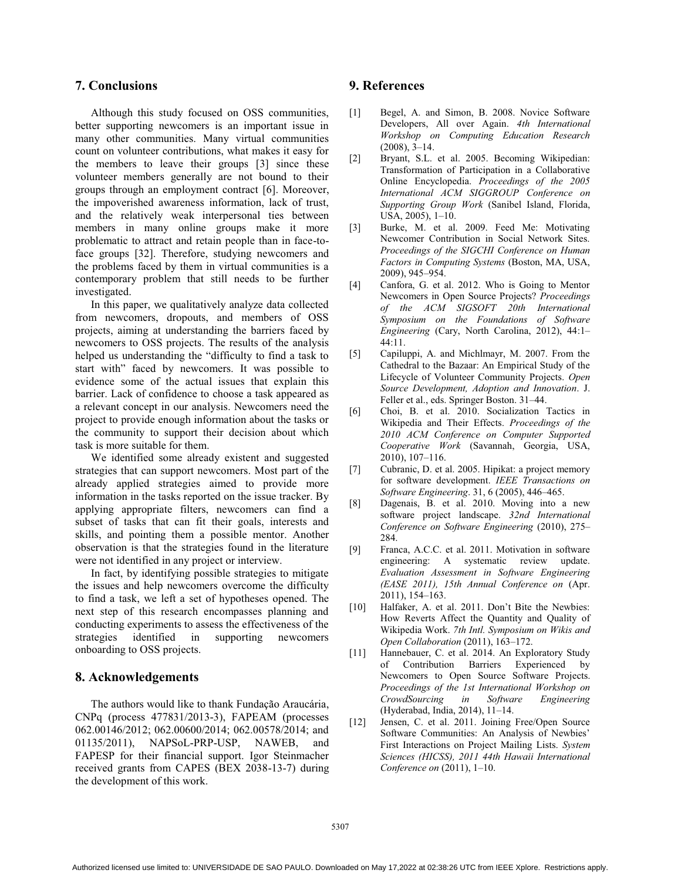# **7. Conclusions**

Although this study focused on OSS communities, better supporting newcomers is an important issue in many other communities. Many virtual communities count on volunteer contributions, what makes it easy for the members to leave their groups [3] since these volunteer members generally are not bound to their groups through an employment contract [6]. Moreover, the impoverished awareness information, lack of trust, and the relatively weak interpersonal ties between members in many online groups make it more problematic to attract and retain people than in face-toface groups [32]. Therefore, studying newcomers and the problems faced by them in virtual communities is a contemporary problem that still needs to be further investigated.

In this paper, we qualitatively analyze data collected from newcomers, dropouts, and members of OSS projects, aiming at understanding the barriers faced by newcomers to OSS projects. The results of the analysis helped us understanding the "difficulty to find a task to start with" faced by newcomers. It was possible to evidence some of the actual issues that explain this barrier. Lack of confidence to choose a task appeared as a relevant concept in our analysis. Newcomers need the project to provide enough information about the tasks or the community to support their decision about which task is more suitable for them.

We identified some already existent and suggested strategies that can support newcomers. Most part of the already applied strategies aimed to provide more information in the tasks reported on the issue tracker. By applying appropriate filters, newcomers can find a subset of tasks that can fit their goals, interests and skills, and pointing them a possible mentor. Another observation is that the strategies found in the literature were not identified in any project or interview.

In fact, by identifying possible strategies to mitigate the issues and help newcomers overcome the difficulty to find a task, we left a set of hypotheses opened. The next step of this research encompasses planning and conducting experiments to assess the effectiveness of the strategies identified in supporting newcomers onboarding to OSS projects.

# **8. Acknowledgements**

The authors would like to thank Fundação Araucária, CNPq (process 477831/2013-3), FAPEAM (processes 062.00146/2012; 062.00600/2014; 062.00578/2014; and 01135/2011), NAPSoL-PRP-USP, NAWEB, and FAPESP for their financial support. Igor Steinmacher received grants from CAPES (BEX 2038-13-7) during the development of this work.

# **9. References**

- [1] Begel, A. and Simon, B. 2008. Novice Software Developers, All over Again. *4th International Workshop on Computing Education Research* (2008), 3–14.
- [2] Bryant, S.L. et al. 2005. Becoming Wikipedian: Transformation of Participation in a Collaborative Online Encyclopedia. *Proceedings of the 2005 International ACM SIGGROUP Conference on Supporting Group Work* (Sanibel Island, Florida, USA, 2005), 1–10.
- [3] Burke, M. et al. 2009. Feed Me: Motivating Newcomer Contribution in Social Network Sites. *Proceedings of the SIGCHI Conference on Human Factors in Computing Systems* (Boston, MA, USA, 2009), 945–954.
- [4] Canfora, G. et al. 2012. Who is Going to Mentor Newcomers in Open Source Projects? *Proceedings of the ACM SIGSOFT 20th International Symposium on the Foundations of Software Engineering* (Cary, North Carolina, 2012), 44:1– 44:11.
- [5] Capiluppi, A. and Michlmayr, M. 2007. From the Cathedral to the Bazaar: An Empirical Study of the Lifecycle of Volunteer Community Projects. *Open Source Development, Adoption and Innovation*. J. Feller et al., eds. Springer Boston. 31–44.
- [6] Choi, B. et al. 2010. Socialization Tactics in Wikipedia and Their Effects. *Proceedings of the 2010 ACM Conference on Computer Supported Cooperative Work* (Savannah, Georgia, USA, 2010), 107–116.
- [7] Cubranic, D. et al. 2005. Hipikat: a project memory for software development. *IEEE Transactions on Software Engineering*. 31, 6 (2005), 446–465.
- [8] Dagenais, B. et al. 2010. Moving into a new software project landscape. *32nd International Conference on Software Engineering* (2010), 275– 284.
- [9] Franca, A.C.C. et al. 2011. Motivation in software engineering: A systematic review update. *Evaluation Assessment in Software Engineering (EASE 2011), 15th Annual Conference on* (Apr. 2011), 154–163.
- [10] Halfaker, A. et al. 2011. Don't Bite the Newbies: How Reverts Affect the Quantity and Quality of Wikipedia Work. *7th Intl. Symposium on Wikis and Open Collaboration* (2011), 163–172.
- [11] Hannebauer, C. et al. 2014. An Exploratory Study of Contribution Barriers Experienced by Newcomers to Open Source Software Projects. *Proceedings of the 1st International Workshop on CrowdSourcing in Software Engineering* (Hyderabad, India, 2014), 11–14.
- [12] Jensen, C. et al. 2011. Joining Free/Open Source Software Communities: An Analysis of Newbies' First Interactions on Project Mailing Lists. *System Sciences (HICSS), 2011 44th Hawaii International Conference on* (2011), 1–10.